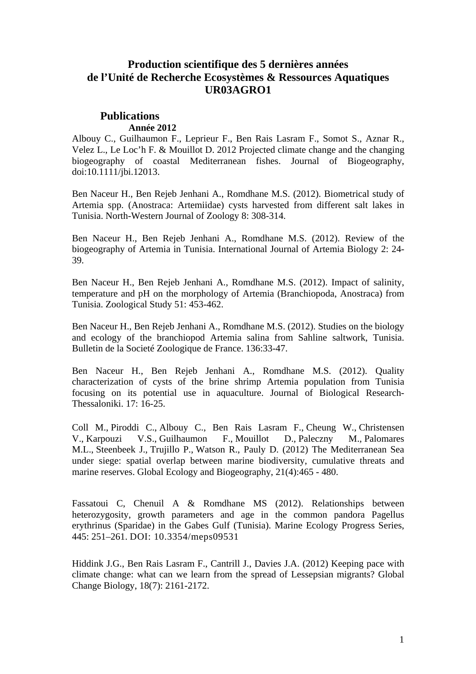# **Production scientifique des 5 dernières années de l'Unité de Recherche Ecosystèmes & Ressources Aquatiques UR03AGRO1**

## **Publications Année 2012**

Albouy C., Guilhaumon F., Leprieur F., Ben Rais Lasram F., Somot S., Aznar R., Velez L., Le Loc'h F. & Mouillot D. 2012 Projected climate change and the changing biogeography of coastal Mediterranean fishes. Journal of Biogeography, doi:10.1111/jbi.12013.

Ben Naceur H., Ben Rejeb Jenhani A., Romdhane M.S. (2012). Biometrical study of Artemia spp. (Anostraca: Artemiidae) cysts harvested from different salt lakes in Tunisia. North-Western Journal of Zoology 8: 308-314.

Ben Naceur H., Ben Rejeb Jenhani A., Romdhane M.S. (2012). Review of the biogeography of Artemia in Tunisia. International Journal of Artemia Biology 2: 24- 39.

Ben Naceur H., Ben Rejeb Jenhani A., Romdhane M.S. (2012). Impact of salinity, temperature and pH on the morphology of Artemia (Branchiopoda, Anostraca) from Tunisia. Zoological Study 51: 453-462.

Ben Naceur H., Ben Rejeb Jenhani A., Romdhane M.S. (2012). Studies on the biology and ecology of the branchiopod Artemia salina from Sahline saltwork, Tunisia. Bulletin de la Societé Zoologique de France. 136:33-47.

Ben Naceur H., Ben Rejeb Jenhani A., Romdhane M.S. (2012). Quality characterization of cysts of the brine shrimp Artemia population from Tunisia focusing on its potential use in aquaculture. Journal of Biological Research-Thessaloniki. 17: 16-25.

Coll M., Piroddi C., Albouy C., Ben Rais Lasram F., Cheung W., Christensen V., Karpouzi V.S., Guilhaumon F., Mouillot D., Paleczny M., Palomares M.L., Steenbeek J., Trujillo P., Watson R., Pauly D. (2012) The Mediterranean Sea under siege: spatial overlap between marine biodiversity, cumulative threats and marine reserves. Global Ecology and Biogeography, 21(4):465 - 480.

Fassatoui C, Chenuil A & Romdhane MS (2012). Relationships between heterozygosity, growth parameters and age in the common pandora Pagellus erythrinus (Sparidae) in the Gabes Gulf (Tunisia). Marine Ecology Progress Series, 445: 251–261. DOI: 10.3354/meps09531

Hiddink J.G., Ben Rais Lasram F., Cantrill J., Davies J.A. (2012) Keeping pace with climate change: what can we learn from the spread of Lessepsian migrants? Global Change Biology, 18(7): 2161-2172.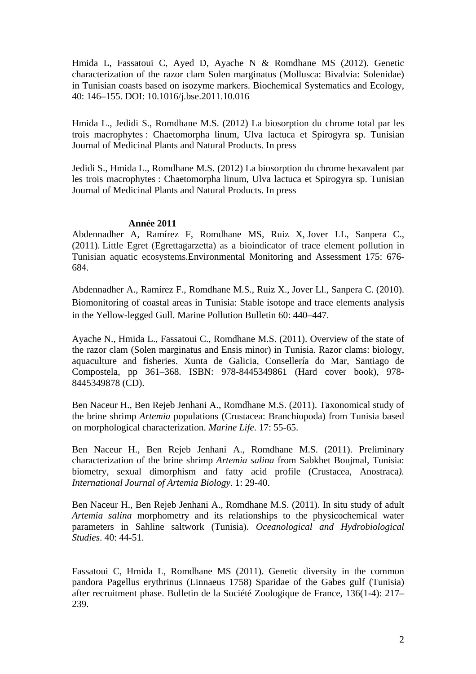Hmida L, Fassatoui C, Ayed D, Ayache N & Romdhane MS (2012). Genetic characterization of the razor clam Solen marginatus (Mollusca: Bivalvia: Solenidae) in Tunisian coasts based on isozyme markers. Biochemical Systematics and Ecology, 40: 146–155. DOI: 10.1016/j.bse.2011.10.016

Hmida L., Jedidi S., Romdhane M.S. (2012) La biosorption du chrome total par les trois macrophytes : Chaetomorpha linum, Ulva lactuca et Spirogyra sp. Tunisian Journal of Medicinal Plants and Natural Products. In press

Jedidi S., Hmida L., Romdhane M.S. (2012) La biosorption du chrome hexavalent par les trois macrophytes : Chaetomorpha linum, Ulva lactuca et Spirogyra sp. Tunisian Journal of Medicinal Plants and Natural Products. In press

### **Année 2011**

Abdennadher A, Ramírez F, Romdhane MS, Ruiz X, Jover LL, Sanpera C., (2011). Little Egret (Egrettagarzetta) as a bioindicator of trace element pollution in Tunisian aquatic ecosystems.Environmental Monitoring and Assessment 175: 676- 684.

Abdennadher A., Ramírez F., Romdhane M.S., Ruiz X., Jover Ll., Sanpera C. (2010). Biomonitoring of coastal areas in Tunisia: Stable isotope and trace elements analysis in the Yellow-legged Gull. Marine Pollution Bulletin 60: 440–447.

Ayache N., Hmida L., Fassatoui C., Romdhane M.S. (2011). Overview of the state of the razor clam (Solen marginatus and Ensis minor) in Tunisia. Razor clams: biology, aquaculture and fisheries. Xunta de Galicia, Consellería do Mar, Santiago de Compostela, pp 361–368. ISBN: 978-8445349861 (Hard cover book), 978- 8445349878 (CD).

Ben Naceur H., Ben Rejeb Jenhani A., Romdhane M.S. (2011). Taxonomical study of the brine shrimp *Artemia* populations (Crustacea: Branchiopoda) from Tunisia based on morphological characterization. *Marine Life*. 17: 55-65.

Ben Naceur H., Ben Rejeb Jenhani A., Romdhane M.S. (2011). Preliminary characterization of the brine shrimp *Artemia salina* from Sabkhet Boujmal, Tunisia: biometry, sexual dimorphism and fatty acid profile (Crustacea, Anostraca*). International Journal of Artemia Biology*. 1: 29-40.

Ben Naceur H., Ben Rejeb Jenhani A., Romdhane M.S. (2011). In situ study of adult *Artemia salina* morphometry and its relationships to the physicochemical water parameters in Sahline saltwork (Tunisia). *Oceanological and Hydrobiological Studies*. 40: 44-51.

Fassatoui C, Hmida L, Romdhane MS (2011). Genetic diversity in the common pandora Pagellus erythrinus (Linnaeus 1758) Sparidae of the Gabes gulf (Tunisia) after recruitment phase. Bulletin de la Société Zoologique de France, 136(1-4): 217– 239.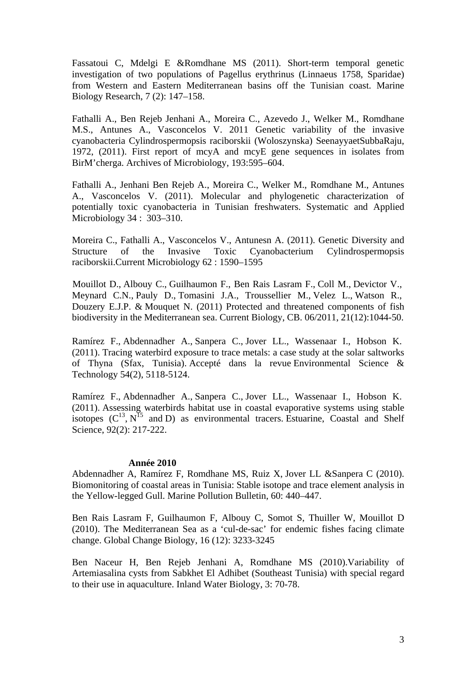Fassatoui C, Mdelgi E &Romdhane MS (2011). Short-term temporal genetic investigation of two populations of Pagellus erythrinus (Linnaeus 1758, Sparidae) from Western and Eastern Mediterranean basins off the Tunisian coast. Marine Biology Research, 7 (2): 147–158.

Fathalli A., Ben Rejeb Jenhani A., Moreira C., Azevedo J., Welker M., Romdhane M.S., Antunes A., Vasconcelos V. 2011 Genetic variability of the invasive cyanobacteria Cylindrospermopsis raciborskii (Woloszynska) SeenayyaetSubbaRaju, 1972, (2011). First report of mcyA and mcyE gene sequences in isolates from BirM'cherga. Archives of Microbiology, 193:595–604.

Fathalli A., Jenhani Ben Rejeb A., Moreira C., Welker M., Romdhane M., Antunes A., Vasconcelos V. (2011). Molecular and phylogenetic characterization of potentially toxic cyanobacteria in Tunisian freshwaters. Systematic and Applied Microbiology 34 : 303–310.

Moreira C., Fathalli A., Vasconcelos V., Antunesn A. (2011). Genetic Diversity and Structure of the Invasive Toxic Cyanobacterium Cylindrospermopsis raciborskii.Current Microbiology 62 : 1590–1595

Mouillot D., Albouy C., Guilhaumon F., Ben Rais Lasram F., Coll M., Devictor V., Meynard C.N., Pauly D., Tomasini J.A., Troussellier M., Velez L., Watson R., Douzery E.J.P. & Mouquet N. (2011) Protected and threatened components of fish biodiversity in the Mediterranean sea. Current Biology, CB. 06/2011, 21(12):1044-50.

Ramírez F., Abdennadher A., Sanpera C., Jover LL., Wassenaar I., Hobson K. (2011). Tracing waterbird exposure to trace metals: a case study at the solar saltworks of Thyna (Sfax, Tunisia). Accepté dans la revue Environmental Science & Technology 54(2), 5118-5124.

Ramírez F., Abdennadher A., Sanpera C., Jover LL., Wassenaar I., Hobson K. (2011). Assessing waterbirds habitat use in coastal evaporative systems using stable isotopes  $(C^{13}, N^{15}$  and D) as environmental tracers. Estuarine, Coastal and Shelf Science, 92(2): 217-222.

### **Année 2010**

Abdennadher A, Ramírez F, Romdhane MS, Ruiz X, Jover LL &Sanpera C (2010). Biomonitoring of coastal areas in Tunisia: Stable isotope and trace element analysis in the Yellow-legged Gull. Marine Pollution Bulletin, 60: 440–447.

Ben Rais Lasram F, Guilhaumon F, Albouy C, Somot S, Thuiller W, Mouillot D (2010). The Mediterranean Sea as a 'cul-de-sac' for endemic fishes facing climate change. Global Change Biology, 16 (12): 3233-3245

Ben Naceur H, Ben Rejeb Jenhani A, Romdhane MS (2010).Variability of Artemiasalina cysts from Sabkhet El Adhibet (Southeast Tunisia) with special regard to their use in aquaculture. Inland Water Biology, 3: 70-78.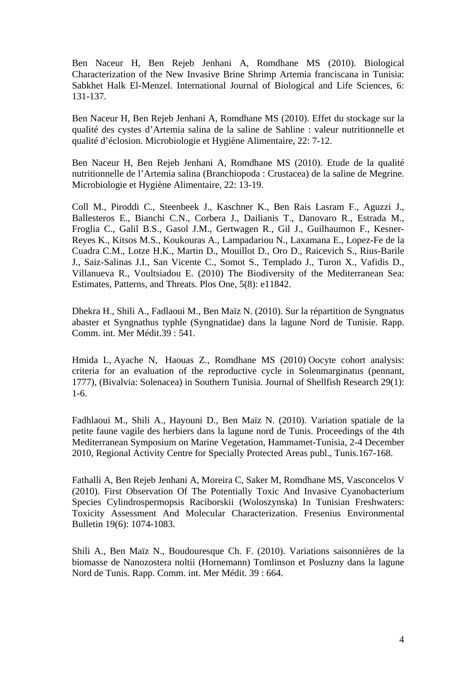Ben Naceur H, Ben Rejeb Jenhani A, Romdhane MS (2010). Biological Characterization of the New Invasive Brine Shrimp Artemia franciscana in Tunisia: Sabkhet Halk El-Menzel. International Journal of Biological and Life Sciences, 6: 131-137.

Ben Naceur H, Ben Rejeb Jenhani A, Romdhane MS (2010). Effet du stockage sur la qualité des cystes d'Artemia salina de la saline de Sahline : valeur nutritionnelle et qualité d'éclosion. Microbiologie et Hygiène Alimentaire, 22: 7-12.

Ben Naceur H, Ben Rejeb Jenhani A, Romdhane MS (2010). Etude de la qualité nutritionnelle de l'Artemia salina (Branchiopoda : Crustacea) de la saline de Megrine. Microbiologie et Hygiène Alimentaire, 22: 13-19.

Coll M., Piroddi C., Steenbeek J., Kaschner K., Ben Rais Lasram F., Aguzzi J., Ballesteros E., Bianchi C.N., Corbera J., Dailianis T., Danovaro R., Estrada M., Froglia C., Galil B.S., Gasol J.M., Gertwagen R., Gil J., Guilhaumon F., Kesner-Reyes K., Kitsos M.S., Koukouras A., Lampadariou N., Laxamana E., Lopez-Fe de la Cuadra C.M., Lotze H.K., Martin D., Mouillot D., Oro D., Raicevich S., Rius-Barile J., Saiz-Salinas J.I., San Vicente C., Somot S., Templado J., Turon X., Vafidis D., Villanueva R., Voultsiadou E. (2010) The Biodiversity of the Mediterranean Sea: Estimates, Patterns, and Threats. Plos One, 5(8): e11842.

Dhekra H., Shili A., Fadlaoui M., Ben Maïz N. (2010). Sur la répartition de Syngnatus abaster et Syngnathus typhle (Syngnatidae) dans la lagune Nord de Tunisie. Rapp. Comm. int. Mer Médit.39 : 541.

Hmida L, Ayache N, Haouas Z., Romdhane MS (2010) Oocyte cohort analysis: criteria for an evaluation of the reproductive cycle in Solenmarginatus (pennant, 1777), (Bivalvia: Solenacea) in Southern Tunisia. Journal of Shellfish Research 29(1): 1-6.

Fadhlaoui M., Shili A., Hayouni D., Ben Maïz N. (2010). Variation spatiale de la petite faune vagile des herbiers dans la lagune nord de Tunis. Proceedings of the 4th Mediterranean Symposium on Marine Vegetation, Hammamet-Tunisia, 2-4 December 2010, Regional Activity Centre for Specially Protected Areas publ., Tunis.167-168.

Fathalli A, Ben Rejeb Jenhani A, Moreira C, Saker M, Romdhane MS, Vasconcelos V (2010). First Observation Of The Potentially Toxic And Invasive Cyanobacterium Species Cylindrospermopsis Raciborskii (Woloszynska) In Tunisian Freshwaters: Toxicity Assessment And Molecular Characterization. Fresenius Environmental Bulletin 19(6): 1074-1083.

Shili A., Ben Maïz N., Boudouresque Ch. F. (2010). Variations saisonnières de la biomasse de Nanozostera noltii (Hornemann) Tomlinson et Posluzny dans la lagune Nord de Tunis. Rapp. Comm. int. Mer Médit. 39 : 664.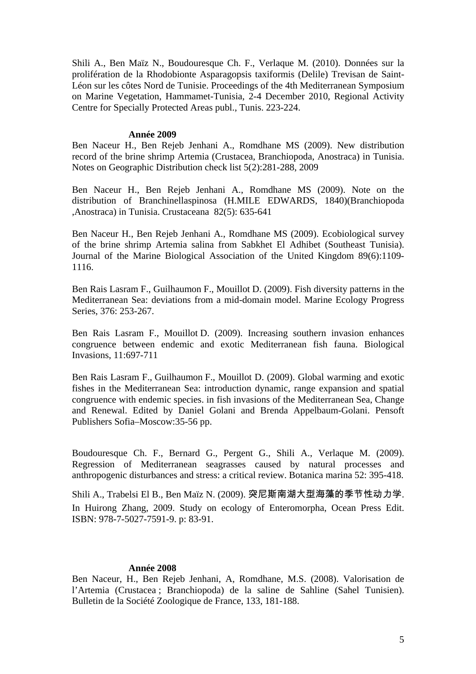Shili A., Ben Maïz N., Boudouresque Ch. F., Verlaque M. (2010). Données sur la prolifération de la Rhodobionte Asparagopsis taxiformis (Delile) Trevisan de Saint-Léon sur les côtes Nord de Tunisie. Proceedings of the 4th Mediterranean Symposium on Marine Vegetation, Hammamet-Tunisia, 2-4 December 2010, Regional Activity Centre for Specially Protected Areas publ., Tunis. 223-224.

#### **Année 2009**

Ben Naceur H., Ben Rejeb Jenhani A., Romdhane MS (2009). New distribution record of the brine shrimp Artemia (Crustacea, Branchiopoda, Anostraca) in Tunisia. Notes on Geographic Distribution check list 5(2):281-288, 2009

Ben Naceur H., Ben Rejeb Jenhani A., Romdhane MS (2009). Note on the distribution of Branchinellaspinosa (H.MILE EDWARDS, 1840)(Branchiopoda ,Anostraca) in Tunisia. Crustaceana 82(5): 635-641

Ben Naceur H., Ben Rejeb Jenhani A., Romdhane MS (2009). Ecobiological survey of the brine shrimp Artemia salina from Sabkhet El Adhibet (Southeast Tunisia). Journal of the Marine Biological Association of the United Kingdom 89(6):1109- 1116.

Ben Rais Lasram F., Guilhaumon F., Mouillot D. (2009). Fish diversity patterns in the Mediterranean Sea: deviations from a mid-domain model. Marine Ecology Progress Series, 376: 253-267.

Ben Rais Lasram F., Mouillot D. (2009). Increasing southern invasion enhances congruence between endemic and exotic Mediterranean fish fauna. Biological Invasions, 11:697-711

Ben Rais Lasram F., Guilhaumon F., Mouillot D. (2009). Global warming and exotic fishes in the Mediterranean Sea: introduction dynamic, range expansion and spatial congruence with endemic species. in fish invasions of the Mediterranean Sea, Change and Renewal. Edited by Daniel Golani and Brenda Appelbaum-Golani. Pensoft Publishers Sofia–Moscow:35-56 pp.

Boudouresque Ch. F., Bernard G., Pergent G., Shili A., Verlaque M. (2009). Regression of Mediterranean seagrasses caused by natural processes and anthropogenic disturbances and stress: a critical review. Botanica marina 52: 395-418.

Shili A., Trabelsi El B., Ben Maïz N. (2009). 突尼斯南湖大型海藻的季节性动力学. In Huirong Zhang, 2009. Study on ecology of Enteromorpha, Ocean Press Edit. ISBN: 978-7-5027-7591-9. p: 83-91.

#### **Année 2008**

Ben Naceur, H., Ben Rejeb Jenhani, A, Romdhane, M.S. (2008). Valorisation de l'Artemia (Crustacea ; Branchiopoda) de la saline de Sahline (Sahel Tunisien). Bulletin de la Société Zoologique de France, 133, 181-188.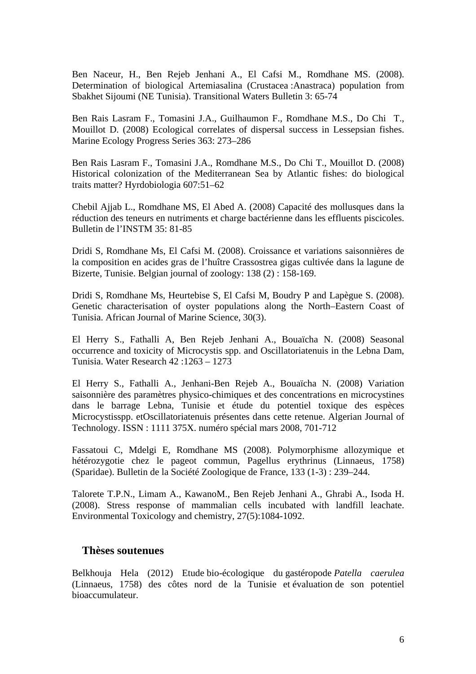Ben Naceur, H., Ben Rejeb Jenhani A., El Cafsi M., Romdhane MS. (2008). Determination of biological Artemiasalina (Crustacea :Anastraca) population from Sbakhet Sijoumi (NE Tunisia). Transitional Waters Bulletin 3: 65-74

Ben Rais Lasram F., Tomasini J.A., Guilhaumon F., Romdhane M.S., Do Chi T., Mouillot D. (2008) Ecological correlates of dispersal success in Lessepsian fishes. Marine Ecology Progress Series 363: 273–286

Ben Rais Lasram F., Tomasini J.A., Romdhane M.S., Do Chi T., Mouillot D. (2008) Historical colonization of the Mediterranean Sea by Atlantic fishes: do biological traits matter? Hyrdobiologia 607:51–62

Chebil Ajjab L., Romdhane MS, El Abed A. (2008) Capacité des mollusques dans la réduction des teneurs en nutriments et charge bactérienne dans les effluents piscicoles. Bulletin de l'INSTM 35: 81-85

Dridi S, Romdhane Ms, El Cafsi M. (2008). Croissance et variations saisonnières de la composition en acides gras de l'huître Crassostrea gigas cultivée dans la lagune de Bizerte, Tunisie. Belgian journal of zoology: 138 (2) : 158-169.

Dridi S, Romdhane Ms, Heurtebise S, El Cafsi M, Boudry P and Lapègue S. (2008). Genetic characterisation of oyster populations along the North–Eastern Coast of Tunisia. African Journal of Marine Science, 30(3).

El Herry S., Fathalli A, Ben Rejeb Jenhani A., Bouaïcha N. (2008) Seasonal occurrence and toxicity of Microcystis spp. and Oscillatoriatenuis in the Lebna Dam, Tunisia. Water Research 42 :1263 – 1273

El Herry S., Fathalli A., Jenhani-Ben Rejeb A., Bouaïcha N. (2008) Variation saisonnière des paramètres physico-chimiques et des concentrations en microcystines dans le barrage Lebna, Tunisie et étude du potentiel toxique des espèces Microcystisspp. etOscillatoriatenuis présentes dans cette retenue. Algerian Journal of Technology. ISSN : 1111 375X. numéro spécial mars 2008, 701-712

Fassatoui C, Mdelgi E, Romdhane MS (2008). Polymorphisme allozymique et hétérozygotie chez le pageot commun, Pagellus erythrinus (Linnaeus, 1758) (Sparidae). Bulletin de la Société Zoologique de France, 133 (1-3) : 239–244.

Talorete T.P.N., Limam A., KawanoM., Ben Rejeb Jenhani A., Ghrabi A., Isoda H. (2008). Stress response of mammalian cells incubated with landfill leachate. Environmental Toxicology and chemistry, 27(5):1084-1092.

## **Thèses soutenues**

Belkhouja Hela (2012) Etude bio-écologique du gastéropode *Patella caerulea* (Linnaeus, 1758) des côtes nord de la Tunisie et évaluation de son potentiel bioaccumulateur.